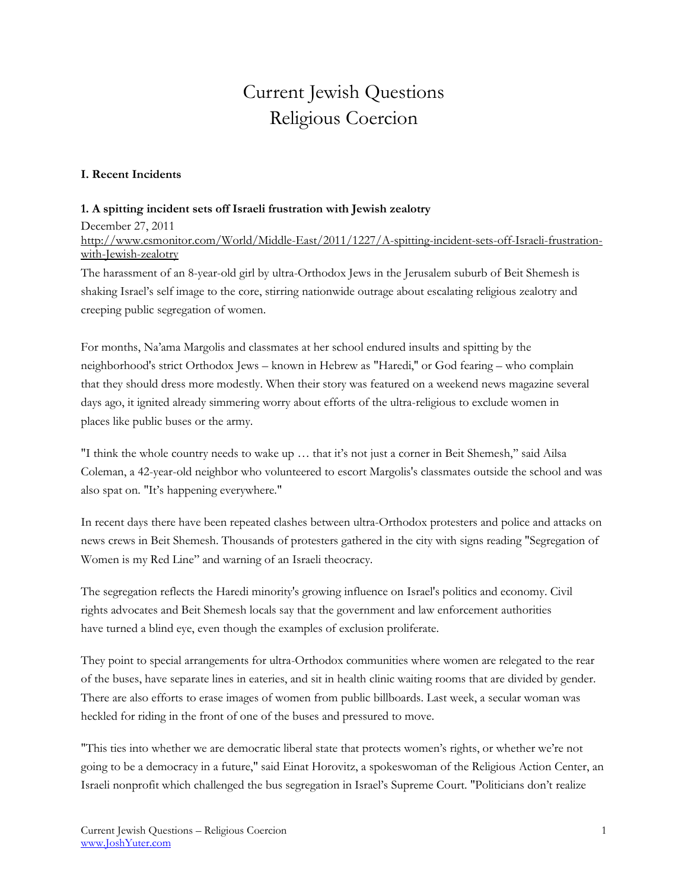# Current Jewish Questions Religious Coercion

### **I. Recent Incidents**

#### **1. A spitting incident sets off Israeli frustration with Jewish zealotry**

December 27, 2011 [http://www.csmonitor.com/World/Middle-East/2011/1227/A-spitting-incident-sets-off-Israeli-frustration](http://www.csmonitor.com/World/Middle-East/2011/1227/A-spitting-incident-sets-off-Israeli-frustration-with-Jewish-zealotry)[with-Jewish-zealotry](http://www.csmonitor.com/World/Middle-East/2011/1227/A-spitting-incident-sets-off-Israeli-frustration-with-Jewish-zealotry)

The harassment of an 8-year-old girl by ultra-Orthodox Jews in the [Jerusalem](http://www.csmonitor.com/tags/topic/Jerusalem) suburb of [Beit Shemesh](http://www.csmonitor.com/tags/topic/Beit+Shemesh) is shaking [Israel](http://www.csmonitor.com/tags/topic/Israel)'s self image to the core, stirring nationwide outrage about escalating religious zealotry and creeping public segregation of women.

For months, Na'ama Margolis and classmates at her school endured insults and spitting by the neighborhood's strict Orthodox Jews – known in Hebrew as "Haredi,'' or God fearing – who complain that they should dress more modestly. When their story was featured on a weekend news magazine several days ago, it ignited already simmering worry about efforts of the ultra-religious to exclude women in places like public buses or the army.

"I think the whole country needs to wake up … that it's not just a corner in Beit Shemesh,'' said Ailsa Coleman, a 42-year-old neighbor who volunteered to escort Margolis's classmates outside the school and was also spat on. "It's happening everywhere."

In recent days there have been repeated clashes between ultra-Orthodox protesters and police and attacks on news crews in Beit Shemesh. Thousands of protesters gathered in the city with signs reading "Segregation of Women is my Red Line'' and warning of an Israeli theocracy.

The segregation reflects the Haredi minority's growing influence on Israel's politics and economy. Civil rights advocates and Beit Shemesh locals say that the government and law enforcement authorities have turned a blind eye, even though the examples of exclusion proliferate.

They point to special arrangements for ultra-Orthodox communities where women are relegated to the rear of the buses, have separate lines in eateries, and sit in health clinic waiting rooms that are divided by gender. There are also efforts to erase images of women from public billboards. Last week, a secular woman was heckled for riding in the front of one of the buses and pressured to move.

"This ties into whether we are democratic liberal state that protects women's rights, or whether we're not going to be a democracy in a future," said Einat Horovitz, a spokeswoman of the Religious Action Center, an Israeli nonprofit which challenged the bus segregation in Israel's Supreme Court. "Politicians don't realize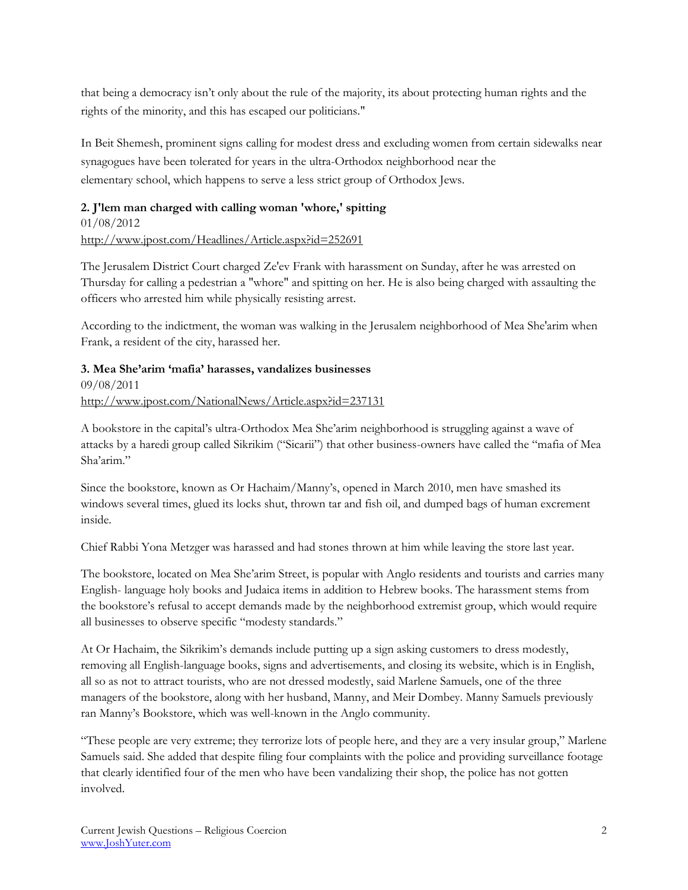that being a democracy isn't only about the rule of the majority, its about protecting human rights and the rights of the minority, and this has escaped our politicians."

In Beit Shemesh, prominent signs calling for modest dress and excluding women from certain sidewalks near synagogues have been tolerated for years in the ultra-Orthodox neighborhood near the elementary school, which happens to serve a less strict group of Orthodox Jews.

## **2. J'lem man charged with calling woman 'whore,' spitting**

01/08/2012 <http://www.jpost.com/Headlines/Article.aspx?id=252691>

The Jerusalem District Court charged Ze'ev Frank with harassment on Sunday, after he was arrested on Thursday for calling a pedestrian a "whore" and spitting on her. He is also being charged with assaulting the officers who arrested him while physically resisting arrest.

According to the indictment, the woman was walking in the Jerusalem neighborhood of Mea She'arim when Frank, a resident of the city, harassed her.

## **3. Mea She'arim 'mafia' harasses, vandalizes businesses**

09/08/2011 <http://www.jpost.com/NationalNews/Article.aspx?id=237131>

A bookstore in the capital's ultra-Orthodox Mea She'arim neighborhood is struggling against a wave of attacks by a haredi group called Sikrikim ("Sicarii") that other business-owners have called the "mafia of Mea Sha'arim."

Since the bookstore, known as Or Hachaim/Manny's, opened in March 2010, men have smashed its windows several times, glued its locks shut, thrown tar and fish oil, and dumped bags of human excrement inside.

Chief Rabbi Yona Metzger was harassed and had stones thrown at him while leaving the store last year.

The bookstore, located on Mea She'arim Street, is popular with Anglo residents and tourists and carries many English- language holy books and Judaica items in addition to Hebrew books. The harassment stems from the bookstore's refusal to accept demands made by the neighborhood extremist group, which would require all businesses to observe specific "modesty standards."

At Or Hachaim, the Sikrikim's demands include putting up a sign asking customers to dress modestly, removing all English-language books, signs and advertisements, and closing its website, which is in English, all so as not to attract tourists, who are not dressed modestly, said Marlene Samuels, one of the three managers of the bookstore, along with her husband, Manny, and Meir Dombey. Manny Samuels previously ran Manny's Bookstore, which was well-known in the Anglo community.

"These people are very extreme; they terrorize lots of people here, and they are a very insular group," Marlene Samuels said. She added that despite filing four complaints with the police and providing surveillance footage that clearly identified four of the men who have been vandalizing their shop, the police has not gotten involved.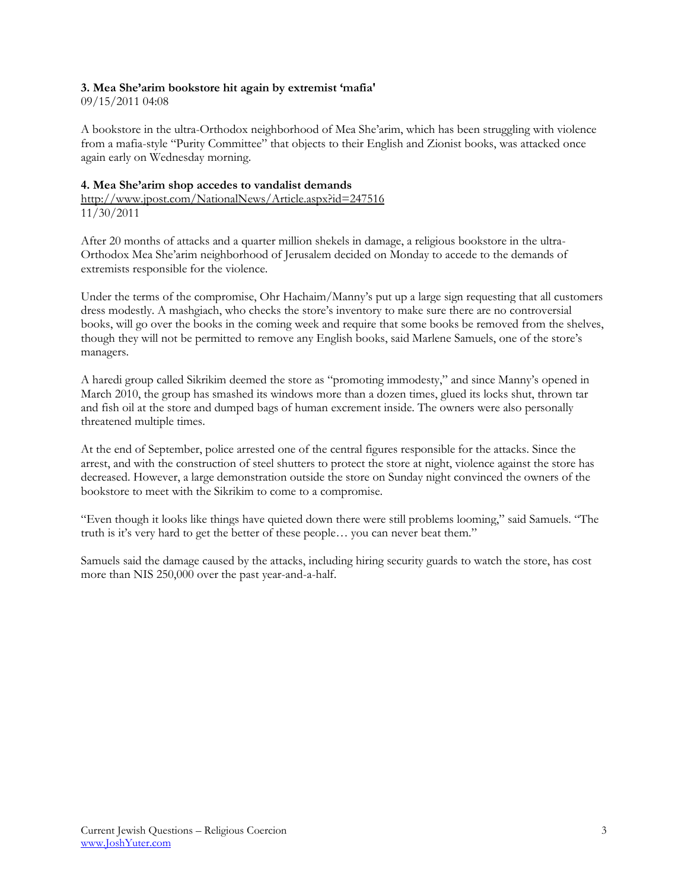#### **3. Mea She'arim bookstore hit again by extremist 'mafia'**

09/15/2011 04:08

A bookstore in the ultra-Orthodox neighborhood of Mea She'arim, which has been struggling with violence from a mafia-style "Purity Committee" that objects to their English and Zionist books, was attacked once again early on Wednesday morning.

#### **4. Mea She'arim shop accedes to vandalist demands** <http://www.jpost.com/NationalNews/Article.aspx?id=247516> 11/30/2011

After 20 months of attacks and a quarter million shekels in damage, a religious bookstore in the ultra-Orthodox Mea She'arim neighborhood of Jerusalem decided on Monday to accede to the demands of extremists responsible for the violence.

Under the terms of the compromise, Ohr Hachaim/Manny's put up a large sign requesting that all customers dress modestly. A mashgiach, who checks the store's inventory to make sure there are no controversial books, will go over the books in the coming week and require that some books be removed from the shelves, though they will not be permitted to remove any English books, said Marlene Samuels, one of the store's managers.

A haredi group called Sikrikim deemed the store as "promoting immodesty," and since Manny's opened in March 2010, the group has smashed its windows more than a dozen times, glued its locks shut, thrown tar and fish oil at the store and dumped bags of human excrement inside. The owners were also personally threatened multiple times.

At the end of September, police arrested one of the central figures responsible for the attacks. Since the arrest, and with the construction of steel shutters to protect the store at night, violence against the store has decreased. However, a large demonstration outside the store on Sunday night convinced the owners of the bookstore to meet with the Sikrikim to come to a compromise.

"Even though it looks like things have quieted down there were still problems looming," said Samuels. "The truth is it's very hard to get the better of these people… you can never beat them."

Samuels said the damage caused by the attacks, including hiring security guards to watch the store, has cost more than NIS 250,000 over the past year-and-a-half.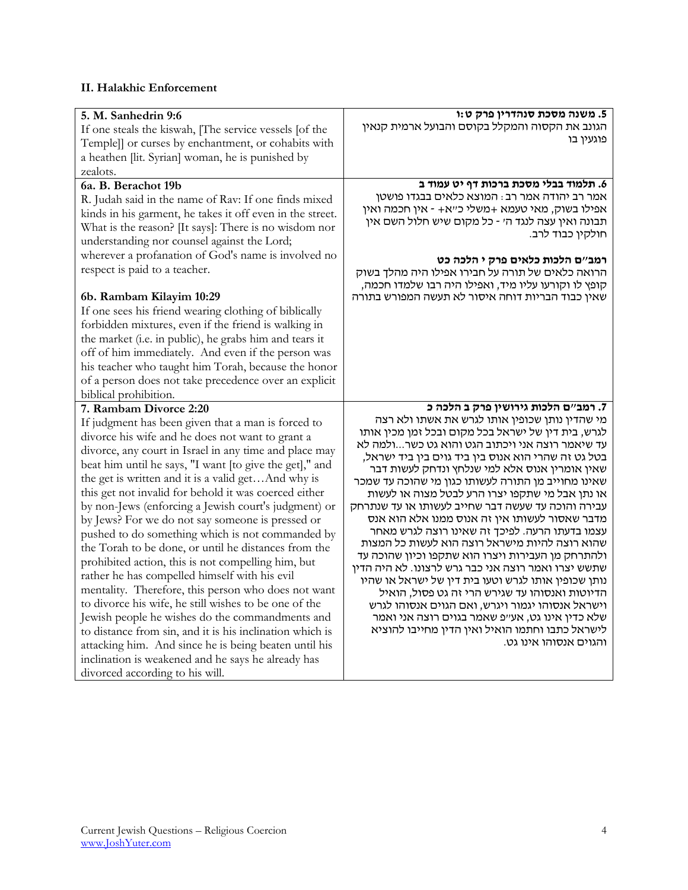## **II. Halakhic Enforcement**

| 5. M. Sanhedrin 9:6                                                                                         | 5. משנה מסכת סנהדרין פרק ט:ו                                                                             |
|-------------------------------------------------------------------------------------------------------------|----------------------------------------------------------------------------------------------------------|
| If one steals the kiswah, [The service vessels [of the                                                      | הגונב את הקסוה והמקלל בקוסם והבועל ארמית קנאין<br>פוגעין בו                                              |
| Temple]] or curses by enchantment, or cohabits with                                                         |                                                                                                          |
| a heathen [lit. Syrian] woman, he is punished by                                                            |                                                                                                          |
| zealots.                                                                                                    |                                                                                                          |
| 6a. B. Berachot 19b                                                                                         | 6. תלמוד בבלי מסכת ברכות דף יט עמוד ב                                                                    |
| R. Judah said in the name of Rav: If one finds mixed                                                        | אמר רב יהודה אמר רב : המוצא כלאים בבגדו פושטן                                                            |
| kinds in his garment, he takes it off even in the street.                                                   | אפילו בשוק, מאי טעמא +משלי כ"א+ - אין חכמה ואין                                                          |
| What is the reason? [It says]: There is no wisdom nor                                                       | תבונה ואין עצה לנגד ה׳ - כל מקום שיש חלול השם אין                                                        |
| understanding nor counsel against the Lord;                                                                 | חולקין כבוד לרב.                                                                                         |
| wherever a profanation of God's name is involved no                                                         |                                                                                                          |
| respect is paid to a teacher.                                                                               | רמב״ם הלכות כלאים פרק י הלכה כט<br>הרואה כלאים של תורה על חבירו אפילו היה מהלך בשוק                      |
|                                                                                                             | קופץ לו וקורעו עליו מיד, ואפילו היה רבו שלמדו חכמה,                                                      |
| 6b. Rambam Kilayim 10:29                                                                                    | שאין כבוד הבריות דוחה איסור לא תעשה המפורש בתורה                                                         |
| If one sees his friend wearing clothing of biblically                                                       |                                                                                                          |
|                                                                                                             |                                                                                                          |
| forbidden mixtures, even if the friend is walking in                                                        |                                                                                                          |
| the market (i.e. in public), he grabs him and tears it                                                      |                                                                                                          |
| off of him immediately. And even if the person was                                                          |                                                                                                          |
| his teacher who taught him Torah, because the honor                                                         |                                                                                                          |
| of a person does not take precedence over an explicit                                                       |                                                                                                          |
| biblical prohibition.                                                                                       |                                                                                                          |
| 7. Rambam Divorce 2:20                                                                                      | 7. רמב"ם הלכות גירושין פרק ב הלכה כ<br>מי שהדין נותן שכופין אותו לגרש את אשתו ולא רצה                    |
| If judgment has been given that a man is forced to                                                          | לגרש, בית דין של ישראל בכל מקום ובכל זמן מכין אותו                                                       |
| divorce his wife and he does not want to grant a                                                            | עד שיאמר רוצה אני ויכתוב הגט והוא גט כשרולמה לא                                                          |
| divorce, any court in Israel in any time and place may                                                      | בטל גט זה שהרי הוא אנוס בין ביד גוים בין ביד ישראל,                                                      |
| beat him until he says, "I want [to give the get]," and                                                     | שאין אומרין אנוס אלא למי שנלחץ ונדחק לעשות דבר                                                           |
| the get is written and it is a valid getAnd why is                                                          | שאינו מחוייב מן התורה לעשותו כגון מי שהוכה עד שמכר                                                       |
| this get not invalid for behold it was coerced either                                                       | או נתן אבל מי שתקפו יצרו הרע לבטל מצוה או לעשות                                                          |
| by non-Jews (enforcing a Jewish court's judgment) or                                                        | עבירה והוכה עד שעשה דבר שחייב לעשותו או עד שנתרחק                                                        |
| by Jews? For we do not say someone is pressed or                                                            | מדבר שאסור לעשותו אין זה אנוס ממנו אלא הוא אנס                                                           |
| pushed to do something which is not commanded by                                                            | עצמו בדעתו הרעה. לפיכך זה שאינו רוצה לגרש מאחר                                                           |
| the Torah to be done, or until he distances from the                                                        | שהוא רוצה להיות מישראל רוצה הוא לעשות כל המצות                                                           |
| prohibited action, this is not compelling him, but                                                          | ולהתרחק מן העבירות ויצרו הוא שתקפו וכיון שהוכה עד<br>שתשש יצרו ואמר רוצה אני כבר גרש לרצונו. לא היה הדין |
| rather he has compelled himself with his evil                                                               | נותן שכופין אותו לגרש וטעו בית דין של ישראל או שהיו                                                      |
| mentality. Therefore, this person who does not want                                                         | הדיוטות ואנסוהו עד שגירש הרי זה גט פסול, הואיל                                                           |
| to divorce his wife, he still wishes to be one of the                                                       | וישראל אנסוהו יגמור ויגרש, ואם הגוים אנסוהו לגרש                                                         |
|                                                                                                             |                                                                                                          |
|                                                                                                             | שלא כדין אינו גט, אע״פ שאמר בגוים רוצה אני ואמר                                                          |
| Jewish people he wishes do the commandments and                                                             | לישראל כתבו וחתמו הואיל ואין הדין מחייבו להוציא                                                          |
| to distance from sin, and it is his inclination which is                                                    | והגוים אנסוהו אינו גט.                                                                                   |
| attacking him. And since he is being beaten until his<br>inclination is weakened and he says he already has |                                                                                                          |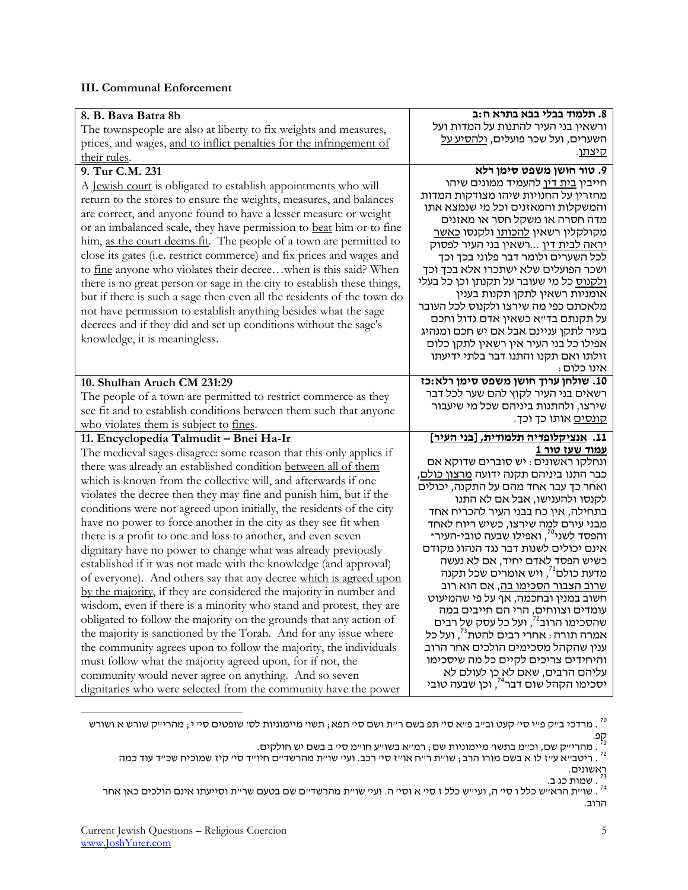## **III. Communal Enforcement**

| 8. B. Bava Batra 8b                                                                                                      | 8. תלמוד בבלי בבא בתרא ח:ב                                                                                                                       |
|--------------------------------------------------------------------------------------------------------------------------|--------------------------------------------------------------------------------------------------------------------------------------------------|
| The townspeople are also at liberty to fix weights and measures,                                                         | ורשאין בני העיר להתנות על המדות ועל                                                                                                              |
| prices, and wages, and to inflict penalties for the infringement of                                                      | השערים, ועל שכר פועלים, <u>ולהסיע על</u>                                                                                                         |
| their rules.                                                                                                             | קיצתן.                                                                                                                                           |
| 9. Tur C.M. 231                                                                                                          | 9. טור חושן משפט סימן רלא                                                                                                                        |
| A <u>Jewish court</u> is obligated to establish appointments who will                                                    | חייבין <u>בית דין</u> להעמיד ממונים שיהו                                                                                                         |
| return to the stores to ensure the weights, measures, and balances                                                       | מחזרין על החנויות שיהו מצודקות המדות                                                                                                             |
| are correct, and anyone found to have a lesser measure or weight                                                         | והמשקלות והמאזנים וכל מי שנמצא אתו                                                                                                               |
| or an imbalanced scale, they have permission to beat him or to fine                                                      | מדה חסרה או משקל חסר או מאזנים<br>מקולקלין רשאין <u>להכותו</u> ולקנסו <u>כאשר</u>                                                                |
| him, as the court deems fit. The people of a town are permitted to                                                       | <u>יראה לבית דין</u> רשאין בני העיר לפסוק                                                                                                        |
| close its gates (i.e. restrict commerce) and fix prices and wages and                                                    | לכל השערים ולומר דבר פלוני בכך וכך                                                                                                               |
| to fine anyone who violates their decreewhen is this said? When                                                          | ושכר הפועלים שלא ישתכרו אלא בכך וכך                                                                                                              |
| there is no great person or sage in the city to establish these things,                                                  | <u>ולקנוס</u> כל מי שעובר על תקנתן וכן כל בעלי                                                                                                   |
| but if there is such a sage then even all the residents of the town do                                                   | אומניות רשאין לתקן תקנות בענין                                                                                                                   |
| not have permission to establish anything besides what the sage                                                          | מלאכתם כפי מה שירצו ולקנוס לכל העובר                                                                                                             |
| decrees and if they did and set up conditions without the sage's                                                         | על תקנתם בד״א כשאין אדם גדול וחכם                                                                                                                |
| knowledge, it is meaningless.                                                                                            | בעיר לתקן עניינם אבל אם יש חכם ומנהיג                                                                                                            |
|                                                                                                                          | אפילו כל בני העיר אין רשאין לתקן כלום                                                                                                            |
|                                                                                                                          | זולתו ואם תקנו והתנו דבר בלתי ידיעתו<br>אינו כלום:                                                                                               |
| 10. Shulhan Aruch CM 231:29                                                                                              | 10. שולחן ערוך חושן משפט סימן רלא:כז                                                                                                             |
|                                                                                                                          | רשאים בני העיר לקוץ להם שער לכל דבר                                                                                                              |
| The people of a town are permitted to restrict commerce as they                                                          |                                                                                                                                                  |
|                                                                                                                          |                                                                                                                                                  |
| see fit and to establish conditions between them such that anyone                                                        | שירצו, ולהתנות ביניהם שכל מי שיעבור<br><u>קונסים</u> אותו כך וכך.                                                                                |
| who violates them is subject to fines.                                                                                   |                                                                                                                                                  |
| 11. Encyclopedia Talmudit - Bnei Ha-Ir                                                                                   | 11. אנציקלופדיה תלמודית, [בני העיר]                                                                                                              |
| The medieval sages disagree: some reason that this only applies if                                                       | <u>עמוד שעז טור 1</u>                                                                                                                            |
| there was already an established condition between all of them                                                           | ונחלקו ראשונים: יש סוברים שדוקא אם                                                                                                               |
| which is known from the collective will, and afterwards if one                                                           | כבר התנו ביניהם תקנה ידועה <u>מרצון כולם,</u><br>ואחר כך עבר אחד מהם על התקנה, יכולים                                                            |
| violates the decree then they may fine and punish him, but if the                                                        | לקנסו ולהענישו, אבל אם לא התנו                                                                                                                   |
| conditions were not agreed upon initially, the residents of the city                                                     | בתחילה, אין כח בבני העיר להכריח אחד                                                                                                              |
| have no power to force another in the city as they see fit when                                                          | מבני עירם למה שירצו, כשיש ריוח לאחד                                                                                                              |
| there is a profit to one and loss to another, and even seven                                                             | והפסד לשני <sup>70</sup> , ואפילו שבעה טובי-העיר*                                                                                                |
| dignitary have no power to change what was already previously                                                            | אינם יכולים לשנות דבר נגד הנהוג מקודם                                                                                                            |
| established if it was not made with the knowledge (and approval)                                                         | כשיש הפסד לאדם יחיד, אם לא נעשה                                                                                                                  |
| of everyone). And others say that any decree which is agreed upon                                                        | מדעת כולם <sup>י?</sup> , ויש אומרים שכל תקנה                                                                                                    |
| by the majority, if they are considered the majority in number and                                                       | <u>שרוב הצבור הסכימו בה,</u> אם הוא רוב                                                                                                          |
| wisdom, even if there is a minority who stand and protest, they are                                                      | חשוב במנין ובחכמה, אף על פי שהמיעוט                                                                                                              |
| obligated to follow the majority on the grounds that any action of                                                       |                                                                                                                                                  |
| the majority is sanctioned by the Torah. And for any issue where                                                         | עומדים וצווחים, הרי הם חייבים במה<br>שהסכימו הרוב <sup>?</sup> , ועל כל עסק ש <u>ל</u> רבים<br>אמרה תורה : אחרי רבים להטת <sup>73</sup> , ועל כל |
| the community agrees upon to follow the majority, the individuals                                                        | ענין שהקהל מסכימים הולכים אחר הרוב                                                                                                               |
| must follow what the majority agreed upon, for if not, the                                                               | והיחידים צריכים לקיים כל מה שיסכימו                                                                                                              |
| community would never agree on anything. And so seven<br>dignitaries who were selected from the community have the power | עליהם הרבים, שאם לא כן לעולם לא<br>יסכימו הקהל שום דבר <sup>74</sup> , וכן שבעה טובי                                                             |

מרדכי ב"ק פ"י סי' קעט וב"ב פ"א סי' תפ בשם ר"ת ושם סי' תפא; תשו' מיימוניות לס' שופטים סי' י; מהרי"ק שורש א ושורש .

 $\overline{\phantom{a}}$ 

קפ.<br><sup>1</sup> . מהרי״ק שם, וכ״מ בתשו׳ מיימוניות שם ; רמ״א בשו׳׳ע חו״מ סי׳ ב בשם יש חולקים.<br><sup>2</sup>' . ריטב״א ע״ז לו א בשם מורו הרב ; שו״ת ר״ח או״ז סי׳ רכב. ועי׳ שו״ת מהרשד״ם חיו״ד סי׳ קיז שמוכיח שכ״ד עוד כמה

ראשונים.<br><sup>גז</sup> . שמות כג ב.<br><sup>74</sup> . שו׳ית הראי׳ש כלל ו סי׳ ה, ועי׳יש כלל ז סי׳ א וסי׳ ה. ועי׳ שו׳ית מהרשד׳ים שם בטעם שר׳ית וסייעתו אינם הולכים כאן אחר הרוב.